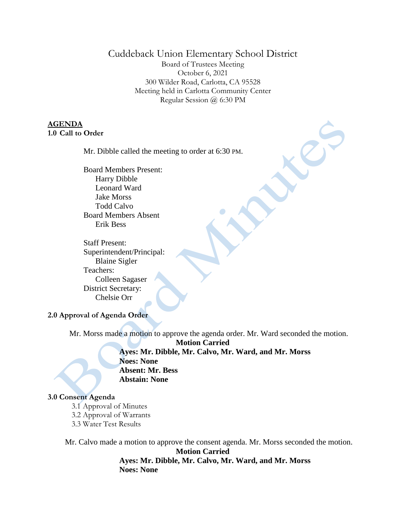# Cuddeback Union Elementary School District

Board of Trustees Meeting October 6, 2021 300 Wilder Road, Carlotta, CA 95528 Meeting held in Carlotta Community Center Regular Session @ 6:30 PM

### **AGENDA 1.0 Call to Order**

Mr. Dibble called the meeting to order at 6:30 PM.

Board Members Present: Harry Dibble Leonard Ward Jake Morss Todd Calvo Board Members Absent Erik Bess

Staff Present: Superintendent/Principal: Blaine Sigler Teachers: Colleen Sagaser District Secretary: Chelsie Orr

#### **2.0 Approval of Agenda Order**

Mr. Morss made a motion to approve the agenda order. Mr. Ward seconded the motion.

**Motion Carried Ayes: Mr. Dibble, Mr. Calvo, Mr. Ward, and Mr. Morss Noes: None Absent: Mr. Bess Abstain: None**

#### **3.0 Consent Agenda**

- 3.1 Approval of Minutes
- 3.2 Approval of Warrants
- 3.3 Water Test Results

Mr. Calvo made a motion to approve the consent agenda. Mr. Morss seconded the motion. **Motion Carried Ayes: Mr. Dibble, Mr. Calvo, Mr. Ward, and Mr. Morss Noes: None**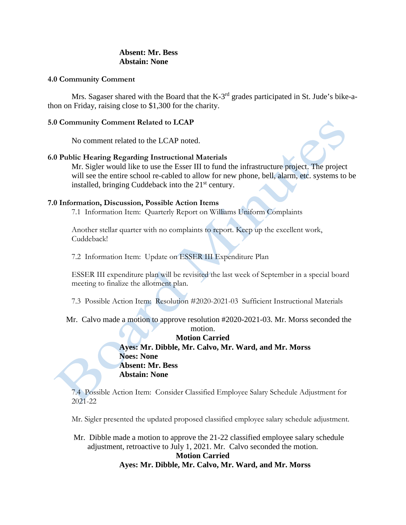## **Absent: Mr. Bess Abstain: None**

#### **4.0 Community Comment**

Mrs. Sagaser shared with the Board that the K-3<sup>rd</sup> grades participated in St. Jude's bike-athon on Friday, raising close to \$1,300 for the charity.

### **5.0 Community Comment Related to LCAP**

No comment related to the LCAP noted.

## **6.0 Public Hearing Regarding Instructional Materials**

Mr. Sigler would like to use the Esser III to fund the infrastructure project. The project will see the entire school re-cabled to allow for new phone, bell, alarm, etc. systems to be installed, bringing Cuddeback into the  $21<sup>st</sup>$  century.

## **7.0 Information, Discussion, Possible Action Items**

7.1 Information Item: Quarterly Report on Williams Uniform Complaints

Another stellar quarter with no complaints to report. Keep up the excellent work, Cuddeback!

7.2 Information Item: Update on ESSER III Expenditure Plan

ESSER III expenditure plan will be revisited the last week of September in a special board meeting to finalize the allotment plan.

7.3 Possible Action Item: Resolution #2020-2021-03 Sufficient Instructional Materials

Mr. Calvo made a motion to approve resolution #2020-2021-03. Mr. Morss seconded the

## motion. **Motion Carried Ayes: Mr. Dibble, Mr. Calvo, Mr. Ward, and Mr. Morss Noes: None Absent: Mr. Bess Abstain: None**

7.4 Possible Action Item: Consider Classified Employee Salary Schedule Adjustment for 2021-22

Mr. Sigler presented the updated proposed classified employee salary schedule adjustment.

Mr. Dibble made a motion to approve the 21-22 classified employee salary schedule adjustment, retroactive to July 1, 2021. Mr. Calvo seconded the motion. **Motion Carried**

# **Ayes: Mr. Dibble, Mr. Calvo, Mr. Ward, and Mr. Morss**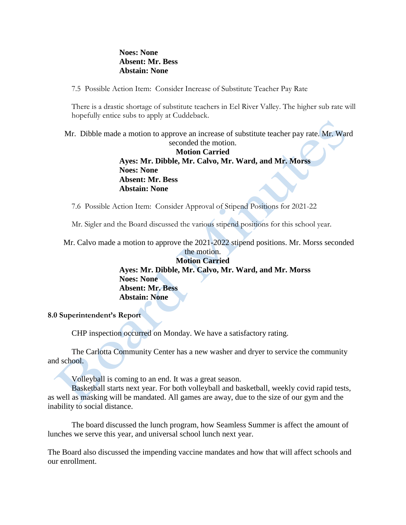### **Noes: None Absent: Mr. Bess Abstain: None**

7.5 Possible Action Item: Consider Increase of Substitute Teacher Pay Rate

There is a drastic shortage of substitute teachers in Eel River Valley. The higher sub rate will hopefully entice subs to apply at Cuddeback.

Mr. Dibble made a motion to approve an increase of substitute teacher pay rate. Mr. Ward seconded the motion.

# **Motion Carried Ayes: Mr. Dibble, Mr. Calvo, Mr. Ward, and Mr. Morss Noes: None Absent: Mr. Bess Abstain: None**

7.6 Possible Action Item: Consider Approval of Stipend Positions for 2021-22

Mr. Sigler and the Board discussed the various stipend positions for this school year.

Mr. Calvo made a motion to approve the 2021-2022 stipend positions. Mr. Morss seconded

the motion. **Motion Carried Ayes: Mr. Dibble, Mr. Calvo, Mr. Ward, and Mr. Morss Noes: None Absent: Mr. Bess Abstain: None**

# **8.0 Superintendent's Report**

CHP inspection occurred on Monday. We have a satisfactory rating.

The Carlotta Community Center has a new washer and dryer to service the community and school.

Volleyball is coming to an end. It was a great season.

Basketball starts next year. For both volleyball and basketball, weekly covid rapid tests, as well as masking will be mandated. All games are away, due to the size of our gym and the inability to social distance.

The board discussed the lunch program, how Seamless Summer is affect the amount of lunches we serve this year, and universal school lunch next year.

The Board also discussed the impending vaccine mandates and how that will affect schools and our enrollment.